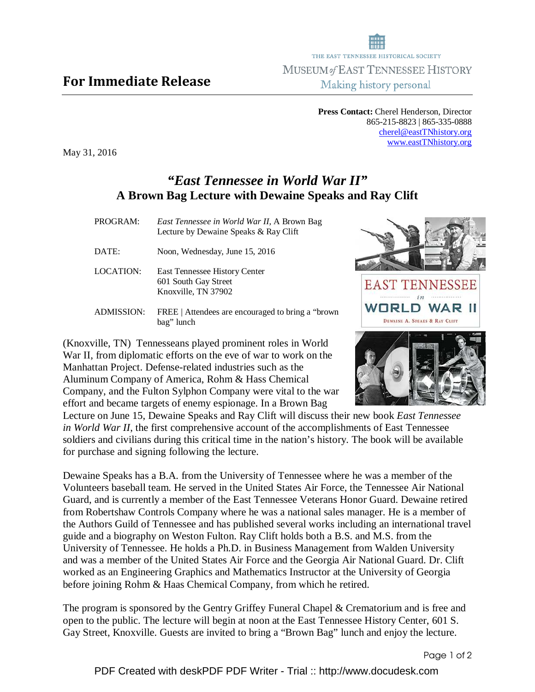## For Immediate Release

Making history personal **Press Contact:** Cherel Henderson, Director

THE EAST TENNESSEE HISTORICAL SOCIETY MUSEUM of EAST TENNESSEE HISTORY

> 865-215-8823 | 865-335-0888 cherel@eastTNhistory.org www.eastTNhistory.org

May 31, 2016

## *"East Tennessee in World War II"*  **A Brown Bag Lecture with Dewaine Speaks and Ray Clift**

| PROGRAM:          | East Tennessee in World War II, A Brown Bag<br>Lecture by Dewaine Speaks & Ray Clift |
|-------------------|--------------------------------------------------------------------------------------|
| DATE:             | Noon, Wednesday, June 15, 2016                                                       |
| LOCATION:         | <b>East Tennessee History Center</b><br>601 South Gay Street<br>Knoxville, TN 37902  |
| <b>ADMISSION:</b> | FREE   Attendees are encouraged to bring a "brown"<br>bag" lunch                     |

(Knoxville, TN) Tennesseans played prominent roles in World War II, from diplomatic efforts on the eve of war to work on the Manhattan Project. Defense-related industries such as the Aluminum Company of America, Rohm & Hass Chemical Company, and the Fulton Sylphon Company were vital to the war effort and became targets of enemy espionage. In a Brown Bag

Lecture on June 15, Dewaine Speaks and Ray Clift will discuss their new book *East Tennessee in World War II*, the first comprehensive account of the accomplishments of East Tennessee soldiers and civilians during this critical time in the nation's history. The book will be available for purchase and signing following the lecture.

Dewaine Speaks has a B.A. from the University of Tennessee where he was a member of the Volunteers baseball team. He served in the United States Air Force, the Tennessee Air National Guard, and is currently a member of the East Tennessee Veterans Honor Guard. Dewaine retired from Robertshaw Controls Company where he was a national sales manager. He is a member of the Authors Guild of Tennessee and has published several works including an international travel guide and a biography on Weston Fulton. Ray Clift holds both a B.S. and M.S. from the University of Tennessee. He holds a Ph.D. in Business Management from Walden University and was a member of the United States Air Force and the Georgia Air National Guard. Dr. Clift worked as an Engineering Graphics and Mathematics Instructor at the University of Georgia before joining Rohm & Haas Chemical Company, from which he retired.

The program is sponsored by the Gentry Griffey Funeral Chapel & Crematorium and is free and open to the public. The lecture will begin at noon at the East Tennessee History Center, 601 S. Gay Street, Knoxville. Guests are invited to bring a "Brown Bag" lunch and enjoy the lecture.



Page 1 of 2